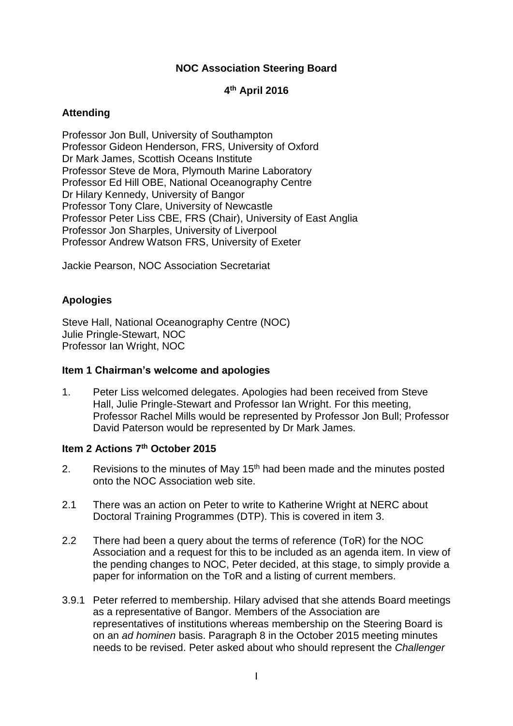# **NOC Association Steering Board**

# **4 th April 2016**

#### **Attending**

Professor Jon Bull, University of Southampton Professor Gideon Henderson, FRS, University of Oxford Dr Mark James, Scottish Oceans Institute Professor Steve de Mora, Plymouth Marine Laboratory Professor Ed Hill OBE, National Oceanography Centre Dr Hilary Kennedy, University of Bangor Professor Tony Clare, University of Newcastle Professor Peter Liss CBE, FRS (Chair), University of East Anglia Professor Jon Sharples, University of Liverpool Professor Andrew Watson FRS, University of Exeter

Jackie Pearson, NOC Association Secretariat

# **Apologies**

Steve Hall, National Oceanography Centre (NOC) Julie Pringle-Stewart, NOC Professor Ian Wright, NOC

#### **Item 1 Chairman's welcome and apologies**

1. Peter Liss welcomed delegates. Apologies had been received from Steve Hall, Julie Pringle-Stewart and Professor Ian Wright. For this meeting, Professor Rachel Mills would be represented by Professor Jon Bull; Professor David Paterson would be represented by Dr Mark James.

#### **Item 2 Actions 7th October 2015**

- 2. Revisions to the minutes of May  $15<sup>th</sup>$  had been made and the minutes posted onto the NOC Association web site.
- 2.1 There was an action on Peter to write to Katherine Wright at NERC about Doctoral Training Programmes (DTP). This is covered in item 3.
- 2.2 There had been a query about the terms of reference (ToR) for the NOC Association and a request for this to be included as an agenda item. In view of the pending changes to NOC, Peter decided, at this stage, to simply provide a paper for information on the ToR and a listing of current members.
- 3.9.1 Peter referred to membership. Hilary advised that she attends Board meetings as a representative of Bangor. Members of the Association are representatives of institutions whereas membership on the Steering Board is on an *ad hominen* basis. Paragraph 8 in the October 2015 meeting minutes needs to be revised. Peter asked about who should represent the *Challenger*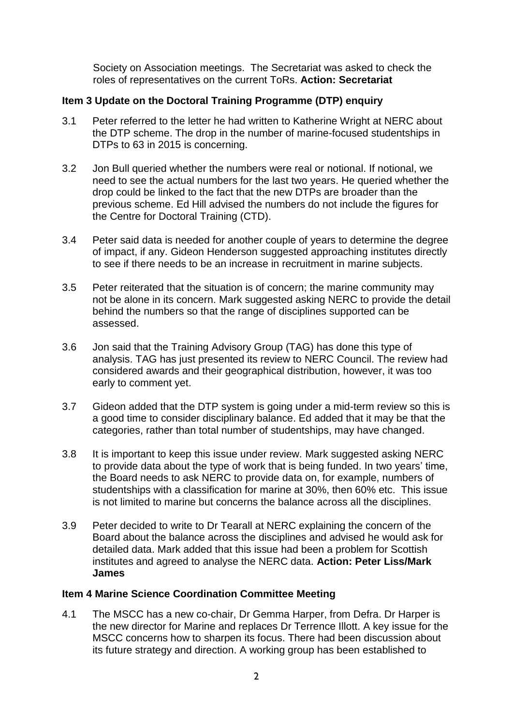Society on Association meetings. The Secretariat was asked to check the roles of representatives on the current ToRs. **Action: Secretariat**

# **Item 3 Update on the Doctoral Training Programme (DTP) enquiry**

- 3.1 Peter referred to the letter he had written to Katherine Wright at NERC about the DTP scheme. The drop in the number of marine-focused studentships in DTPs to 63 in 2015 is concerning.
- 3.2 Jon Bull queried whether the numbers were real or notional. If notional, we need to see the actual numbers for the last two years. He queried whether the drop could be linked to the fact that the new DTPs are broader than the previous scheme. Ed Hill advised the numbers do not include the figures for the Centre for Doctoral Training (CTD).
- 3.4 Peter said data is needed for another couple of years to determine the degree of impact, if any. Gideon Henderson suggested approaching institutes directly to see if there needs to be an increase in recruitment in marine subjects.
- 3.5 Peter reiterated that the situation is of concern; the marine community may not be alone in its concern. Mark suggested asking NERC to provide the detail behind the numbers so that the range of disciplines supported can be assessed.
- 3.6 Jon said that the Training Advisory Group (TAG) has done this type of analysis. TAG has just presented its review to NERC Council. The review had considered awards and their geographical distribution, however, it was too early to comment yet.
- 3.7 Gideon added that the DTP system is going under a mid-term review so this is a good time to consider disciplinary balance. Ed added that it may be that the categories, rather than total number of studentships, may have changed.
- 3.8 It is important to keep this issue under review. Mark suggested asking NERC to provide data about the type of work that is being funded. In two years' time, the Board needs to ask NERC to provide data on, for example, numbers of studentships with a classification for marine at 30%, then 60% etc. This issue is not limited to marine but concerns the balance across all the disciplines.
- 3.9 Peter decided to write to Dr Tearall at NERC explaining the concern of the Board about the balance across the disciplines and advised he would ask for detailed data. Mark added that this issue had been a problem for Scottish institutes and agreed to analyse the NERC data. **Action: Peter Liss/Mark James**

### **Item 4 Marine Science Coordination Committee Meeting**

4.1 The MSCC has a new co-chair, Dr Gemma Harper, from Defra. Dr Harper is the new director for Marine and replaces Dr Terrence Illott. A key issue for the MSCC concerns how to sharpen its focus. There had been discussion about its future strategy and direction. A working group has been established to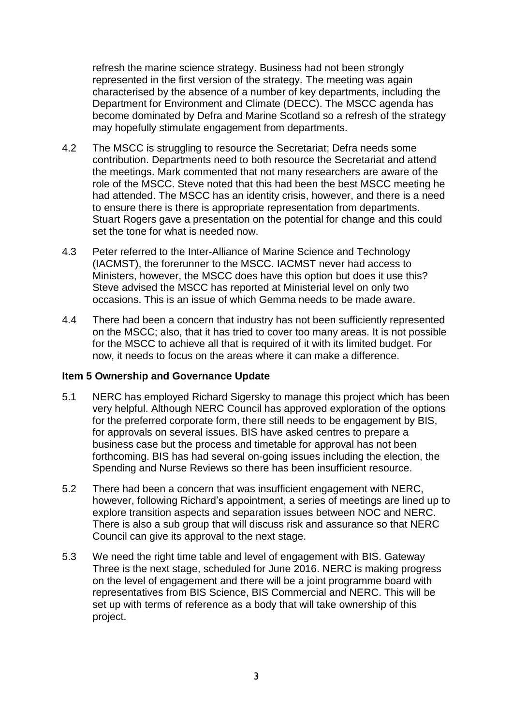refresh the marine science strategy. Business had not been strongly represented in the first version of the strategy. The meeting was again characterised by the absence of a number of key departments, including the Department for Environment and Climate (DECC). The MSCC agenda has become dominated by Defra and Marine Scotland so a refresh of the strategy may hopefully stimulate engagement from departments.

- 4.2 The MSCC is struggling to resource the Secretariat; Defra needs some contribution. Departments need to both resource the Secretariat and attend the meetings. Mark commented that not many researchers are aware of the role of the MSCC. Steve noted that this had been the best MSCC meeting he had attended. The MSCC has an identity crisis, however, and there is a need to ensure there is there is appropriate representation from departments. Stuart Rogers gave a presentation on the potential for change and this could set the tone for what is needed now.
- 4.3 Peter referred to the Inter-Alliance of Marine Science and Technology (IACMST), the forerunner to the MSCC. IACMST never had access to Ministers, however, the MSCC does have this option but does it use this? Steve advised the MSCC has reported at Ministerial level on only two occasions. This is an issue of which Gemma needs to be made aware.
- 4.4 There had been a concern that industry has not been sufficiently represented on the MSCC; also, that it has tried to cover too many areas. It is not possible for the MSCC to achieve all that is required of it with its limited budget. For now, it needs to focus on the areas where it can make a difference.

### **Item 5 Ownership and Governance Update**

- 5.1 NERC has employed Richard Sigersky to manage this project which has been very helpful. Although NERC Council has approved exploration of the options for the preferred corporate form, there still needs to be engagement by BIS, for approvals on several issues. BIS have asked centres to prepare a business case but the process and timetable for approval has not been forthcoming. BIS has had several on-going issues including the election, the Spending and Nurse Reviews so there has been insufficient resource.
- 5.2 There had been a concern that was insufficient engagement with NERC, however, following Richard's appointment, a series of meetings are lined up to explore transition aspects and separation issues between NOC and NERC. There is also a sub group that will discuss risk and assurance so that NERC Council can give its approval to the next stage.
- 5.3 We need the right time table and level of engagement with BIS. Gateway Three is the next stage, scheduled for June 2016. NERC is making progress on the level of engagement and there will be a joint programme board with representatives from BIS Science, BIS Commercial and NERC. This will be set up with terms of reference as a body that will take ownership of this project.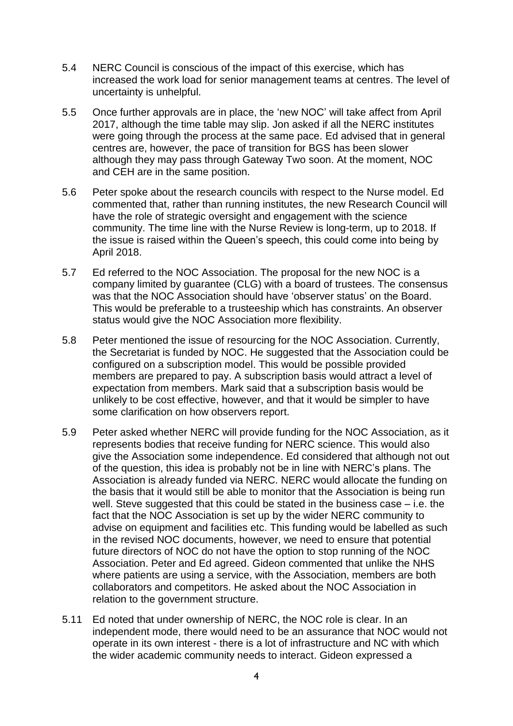- 5.4 NERC Council is conscious of the impact of this exercise, which has increased the work load for senior management teams at centres. The level of uncertainty is unhelpful.
- 5.5 Once further approvals are in place, the 'new NOC' will take affect from April 2017, although the time table may slip. Jon asked if all the NERC institutes were going through the process at the same pace. Ed advised that in general centres are, however, the pace of transition for BGS has been slower although they may pass through Gateway Two soon. At the moment, NOC and CEH are in the same position.
- 5.6 Peter spoke about the research councils with respect to the Nurse model. Ed commented that, rather than running institutes, the new Research Council will have the role of strategic oversight and engagement with the science community. The time line with the Nurse Review is long-term, up to 2018. If the issue is raised within the Queen's speech, this could come into being by April 2018.
- 5.7 Ed referred to the NOC Association. The proposal for the new NOC is a company limited by guarantee (CLG) with a board of trustees. The consensus was that the NOC Association should have 'observer status' on the Board. This would be preferable to a trusteeship which has constraints. An observer status would give the NOC Association more flexibility.
- 5.8 Peter mentioned the issue of resourcing for the NOC Association. Currently, the Secretariat is funded by NOC. He suggested that the Association could be configured on a subscription model. This would be possible provided members are prepared to pay. A subscription basis would attract a level of expectation from members. Mark said that a subscription basis would be unlikely to be cost effective, however, and that it would be simpler to have some clarification on how observers report.
- 5.9 Peter asked whether NERC will provide funding for the NOC Association, as it represents bodies that receive funding for NERC science. This would also give the Association some independence. Ed considered that although not out of the question, this idea is probably not be in line with NERC's plans. The Association is already funded via NERC. NERC would allocate the funding on the basis that it would still be able to monitor that the Association is being run well. Steve suggested that this could be stated in the business case – i.e. the fact that the NOC Association is set up by the wider NERC community to advise on equipment and facilities etc. This funding would be labelled as such in the revised NOC documents, however, we need to ensure that potential future directors of NOC do not have the option to stop running of the NOC Association. Peter and Ed agreed. Gideon commented that unlike the NHS where patients are using a service, with the Association, members are both collaborators and competitors. He asked about the NOC Association in relation to the government structure.
- 5.11 Ed noted that under ownership of NERC, the NOC role is clear. In an independent mode, there would need to be an assurance that NOC would not operate in its own interest - there is a lot of infrastructure and NC with which the wider academic community needs to interact. Gideon expressed a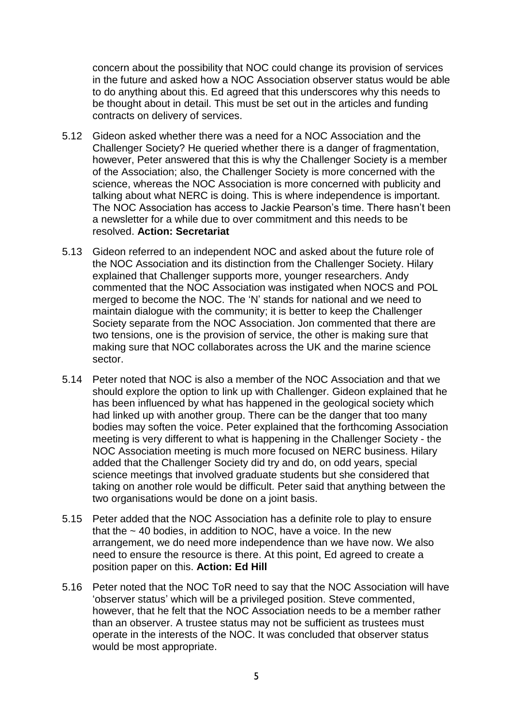concern about the possibility that NOC could change its provision of services in the future and asked how a NOC Association observer status would be able to do anything about this. Ed agreed that this underscores why this needs to be thought about in detail. This must be set out in the articles and funding contracts on delivery of services.

- 5.12 Gideon asked whether there was a need for a NOC Association and the Challenger Society? He queried whether there is a danger of fragmentation, however, Peter answered that this is why the Challenger Society is a member of the Association; also, the Challenger Society is more concerned with the science, whereas the NOC Association is more concerned with publicity and talking about what NERC is doing. This is where independence is important. The NOC Association has access to Jackie Pearson's time. There hasn't been a newsletter for a while due to over commitment and this needs to be resolved. **Action: Secretariat**
- 5.13 Gideon referred to an independent NOC and asked about the future role of the NOC Association and its distinction from the Challenger Society. Hilary explained that Challenger supports more, younger researchers. Andy commented that the NOC Association was instigated when NOCS and POL merged to become the NOC. The 'N' stands for national and we need to maintain dialogue with the community; it is better to keep the Challenger Society separate from the NOC Association. Jon commented that there are two tensions, one is the provision of service, the other is making sure that making sure that NOC collaborates across the UK and the marine science sector.
- 5.14 Peter noted that NOC is also a member of the NOC Association and that we should explore the option to link up with Challenger. Gideon explained that he has been influenced by what has happened in the geological society which had linked up with another group. There can be the danger that too many bodies may soften the voice. Peter explained that the forthcoming Association meeting is very different to what is happening in the Challenger Society - the NOC Association meeting is much more focused on NERC business. Hilary added that the Challenger Society did try and do, on odd years, special science meetings that involved graduate students but she considered that taking on another role would be difficult. Peter said that anything between the two organisations would be done on a joint basis.
- 5.15 Peter added that the NOC Association has a definite role to play to ensure that the  $\sim$  40 bodies, in addition to NOC, have a voice. In the new arrangement, we do need more independence than we have now. We also need to ensure the resource is there. At this point, Ed agreed to create a position paper on this. **Action: Ed Hill**
- 5.16 Peter noted that the NOC ToR need to say that the NOC Association will have 'observer status' which will be a privileged position. Steve commented, however, that he felt that the NOC Association needs to be a member rather than an observer. A trustee status may not be sufficient as trustees must operate in the interests of the NOC. It was concluded that observer status would be most appropriate.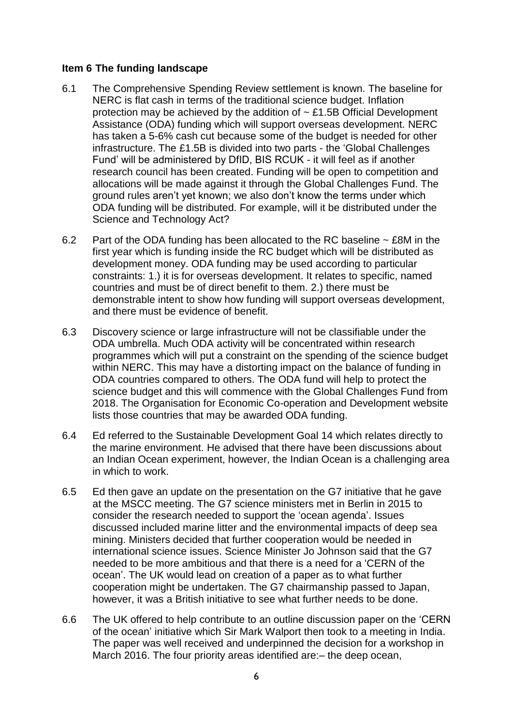#### **Item 6 The funding landscape**

- 6.1 The Comprehensive Spending Review settlement is known. The baseline for NERC is flat cash in terms of the traditional science budget. Inflation protection may be achieved by the addition of  $\sim$  £1.5B Official Development Assistance (ODA) funding which will support overseas development. NERC has taken a 5-6% cash cut because some of the budget is needed for other infrastructure. The £1.5B is divided into two parts - the 'Global Challenges Fund' will be administered by DfID, BIS RCUK - it will feel as if another research council has been created. Funding will be open to competition and allocations will be made against it through the Global Challenges Fund. The ground rules aren't yet known; we also don't know the terms under which ODA funding will be distributed. For example, will it be distributed under the Science and Technology Act?
- 6.2 Part of the ODA funding has been allocated to the RC baseline  $\sim$  £8M in the first year which is funding inside the RC budget which will be distributed as development money. ODA funding may be used according to particular constraints: 1.) it is for overseas development. It relates to specific, named countries and must be of direct benefit to them. 2.) there must be demonstrable intent to show how funding will support overseas development, and there must be evidence of benefit.
- 6.3 Discovery science or large infrastructure will not be classifiable under the ODA umbrella. Much ODA activity will be concentrated within research programmes which will put a constraint on the spending of the science budget within NERC. This may have a distorting impact on the balance of funding in ODA countries compared to others. The ODA fund will help to protect the science budget and this will commence with the Global Challenges Fund from 2018. The Organisation for Economic Co-operation and Development website lists those countries that may be awarded ODA funding.
- 6.4 Ed referred to the Sustainable Development Goal 14 which relates directly to the marine environment. He advised that there have been discussions about an Indian Ocean experiment, however, the Indian Ocean is a challenging area in which to work.
- 6.5 Ed then gave an update on the presentation on the G7 initiative that he gave at the MSCC meeting. The G7 science ministers met in Berlin in 2015 to consider the research needed to support the 'ocean agenda'. Issues discussed included marine litter and the environmental impacts of deep sea mining. Ministers decided that further cooperation would be needed in international science issues. Science Minister Jo Johnson said that the G7 needed to be more ambitious and that there is a need for a 'CERN of the ocean'. The UK would lead on creation of a paper as to what further cooperation might be undertaken. The G7 chairmanship passed to Japan, however, it was a British initiative to see what further needs to be done.
- 6.6 The UK offered to help contribute to an outline discussion paper on the 'CERN of the ocean' initiative which Sir Mark Walport then took to a meeting in India. The paper was well received and underpinned the decision for a workshop in March 2016. The four priority areas identified are:  $-$  the deep ocean,